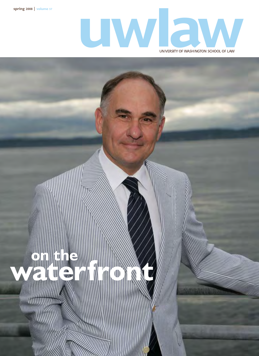